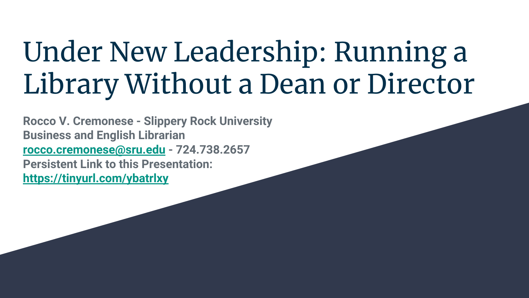### Under New Leadership: Running a Library Without a Dean or Director

**Rocco V. Cremonese - Slippery Rock University Business and English Librarian [rocco.cremonese@sru.edu](mailto:rocco.cremonese@sru.edu) - 724.738.2657 Persistent Link to this Presentation: <https://tinyurl.com/ybatrlxy>**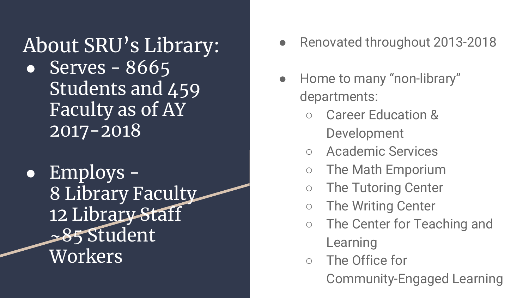About SRU's Library: • Serves  $-8665$ Students and 459 Faculty as of AY 2017-2018

● Employs - 8 Library Faculty 12 Library Staff ~85 Student Workers

- Renovated throughout 2013-2018
- Home to many "non-library" departments:
	- **Career Education &** Development
	- Academic Services
	- The Math Emporium
	- The Tutoring Center
	- The Writing Center
	- The Center for Teaching and Learning
	- The Office for Community-Engaged Learning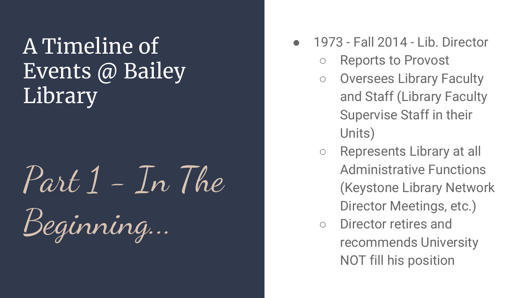# Part 1 - In The

Beginning...

- 1973 Fall 2014 Lib. Director
	- Reports to Provost
	- Oversees Library Faculty and Staff (Library Faculty Supervise Staff in their Units)
	- Represents Library at all Administrative Functions (Keystone Library Network Director Meetings, etc.)
	- Director retires and recommends University NOT fill his position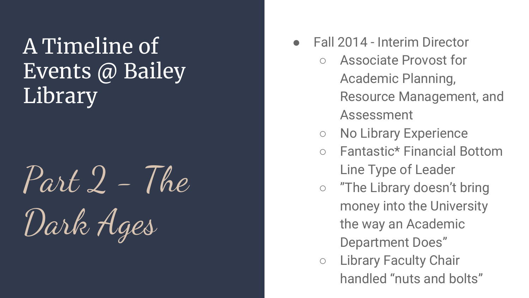## Part 2 - The Dark Ages

- **Fall 2014 Interim Director** 
	- Associate Provost for Academic Planning, Resource Management, and Assessment
	- No Library Experience
	- Fantastic\* Financial Bottom Line Type of Leader
	- "The Library doesn't bring money into the University the way an Academic Department Does"
	- Library Faculty Chair handled "nuts and bolts"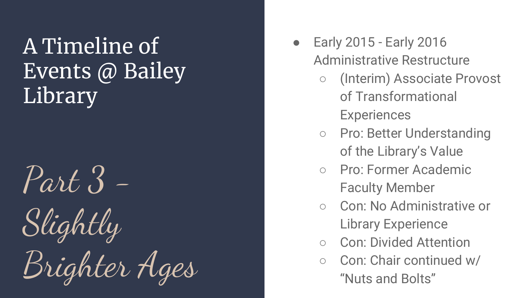## Part 3 - Slightly Brighter Ages

- Early 2015 Early 2016 Administrative Restructure
	- (Interim) Associate Provost of Transformational **Experiences**
	- Pro: Better Understanding of the Library's Value
	- Pro: Former Academic Faculty Member
	- Con: No Administrative or Library Experience
	- Con: Divided Attention
	- Con: Chair continued w/ "Nuts and Bolts"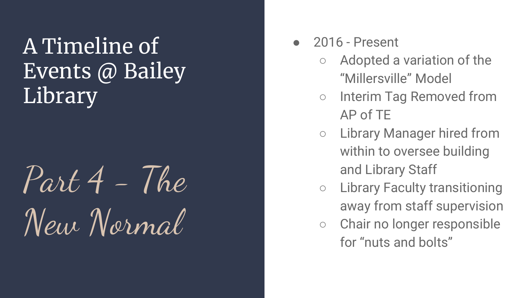### $Part\overline{4}$  - The New Normal

- 2016 Present
	- Adopted a variation of the "Millersville" Model
	- Interim Tag Removed from AP of TE
	- Library Manager hired from within to oversee building and Library Staff
	- Library Faculty transitioning away from staff supervision
	- Chair no longer responsible for "nuts and bolts"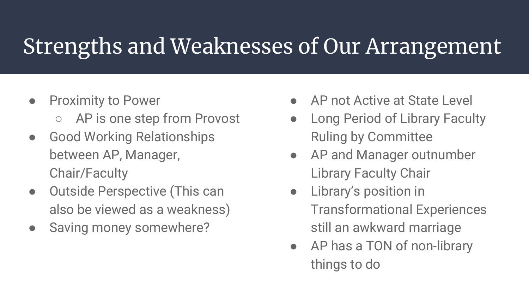### Strengths and Weaknesses of Our Arrangement

- Proximity to Power
	- AP is one step from Provost
- Good Working Relationships between AP, Manager, Chair/Faculty
- Outside Perspective (This can also be viewed as a weakness)
- Saving money somewhere?
- AP not Active at State Level
- Long Period of Library Faculty Ruling by Committee
- AP and Manager outnumber Library Faculty Chair
- Library's position in Transformational Experiences still an awkward marriage
- AP has a TON of non-library things to do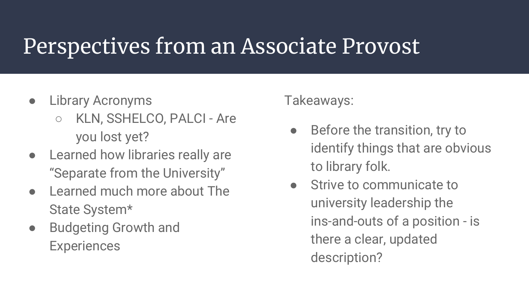### Perspectives from an Associate Provost

- Library Acronyms
	- KLN, SSHELCO, PALCI Are you lost yet?
- Learned how libraries really are "Separate from the University"
- Learned much more about The State System\*
- Budgeting Growth and **Experiences**

#### Takeaways:

- Before the transition, try to identify things that are obvious to library folk.
- Strive to communicate to university leadership the ins-and-outs of a position - is there a clear, updated description?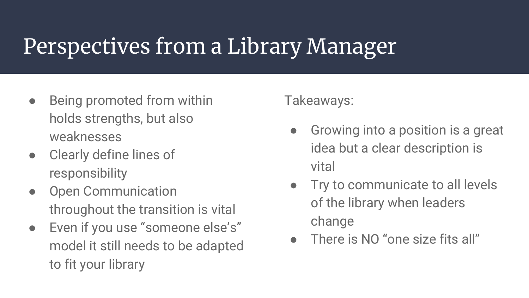### Perspectives from a Library Manager

- Being promoted from within holds strengths, but also weaknesses
- Clearly define lines of responsibility
- Open Communication throughout the transition is vital
- Even if you use "someone else's" model it still needs to be adapted to fit your library

#### Takeaways:

- Growing into a position is a great idea but a clear description is vital
- Try to communicate to all levels of the library when leaders change
- There is NO "one size fits all"